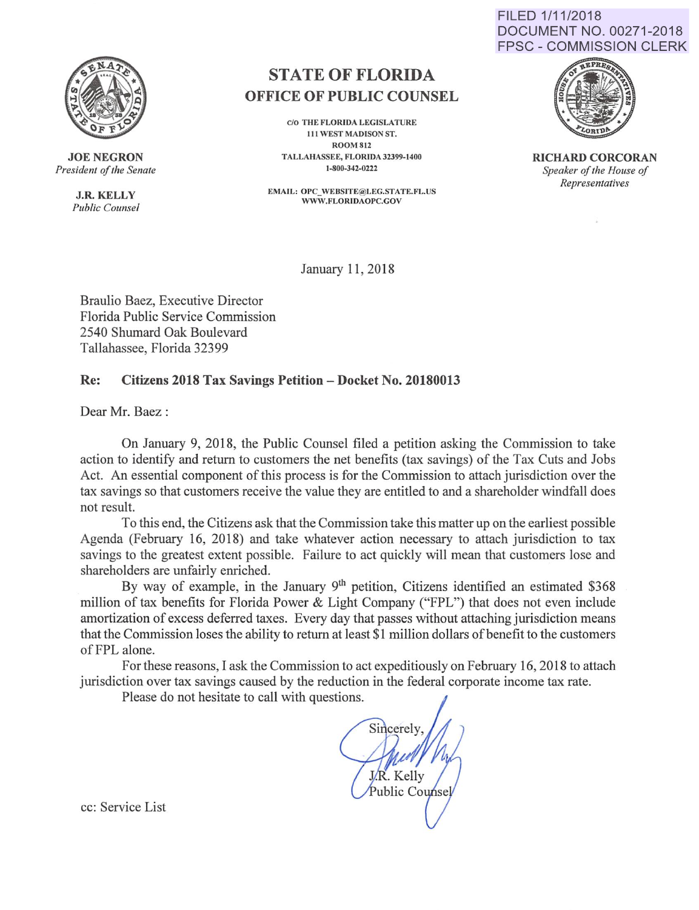

**JOE NEGRON**  *President of the Senate* 

> **J.R. KELLY**  *Public Counsel*

## **STATE OF FLORIDA OFFICE OF PUBLIC COUNSEL**

*CIO* THE FLORIDA LEGISLATURE Ill WEST MADISON ST. ROOM812 TALLMIASSEE, FLORIDA 32399-1400 1-800-342-0222

EMAIL: OPC\_ WEBSITE@LEG.STATE.FL.US WWW.FLORIOAOPC.GOV





**RICHARD CORCORAN**  *Speaker of the House of Representatives* 

January 11,2018

Braulio Baez, Executive Director Florida Public Service Commission 2540 Shumard Oak Boulevard Tallahassee, Florida 32399

## **Re: Citizens 2018 Tax Savings Petition- Docket No. 20180013**

Dear Mr. Baez :

On January 9, 2018, the Public Counsel filed a petition asking the Commission to take action to identify and return to customers the net benefits (tax savings) of the Tax Cuts and Jobs Act. An essential component of this process is for the Commission to attach jurisdiction over the tax savings so that customers receive the value they are entitled to and a shareholder windfall does not result.

To this end, the Citizens ask that the Commission take this matter up on the earliest possible Agenda (February 16, 2018) and take whatever action necessary to attach jurisdiction to tax savings to the greatest extent possible. Failure to act quickly will mean that customers lose and shareholders are unfairly enriched.

By way of example, in the January 9<sup>th</sup> petition, Citizens identified an estimated \$368 million of tax benefits for Florida Power & Light Company ("FPL") that does not even include amortization of excess deferred taxes. Every day that passes without attaching jurisdiction means that the Commission loses the ability to return at least \$1 million dollars of benefit to the customers of FPL alone.

For these reasons, I ask the Commission to act expeditiously on February 16, 2018 to attach jurisdiction over tax savings caused by the reduction in the federal corporate income tax rate.

Please do not hesitate to call with questions.

Sincerely J.R. Kelly Public Counse

cc: Service List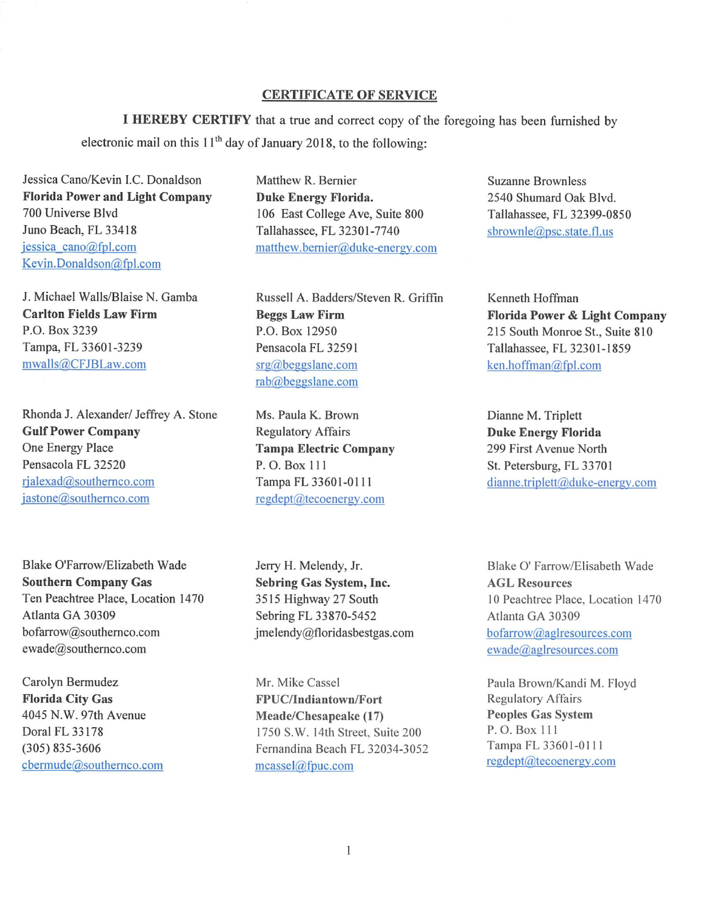## CERTIFICATE OF SERVICE

I HEREBY CERTIFY that a true and correct copy of the for<sup>e</sup>going has been furnished by electronic mail on this  $11<sup>th</sup>$  day of January 2018, to the following:

Jessica Cano/Kevin I.C. Donaldson Florida Power and Light Company 700 Universe Blvd Juno Beach, FL 33418 jessica cano@fpl.com Kevin. Donaldson@fpl.com

J. Michael Walls/Blaise N. Gamba Carlton Fields Law Firm P.O. Box 3239 Tampa, FL 33601-3239 mwalls@CFJBLaw.com

Rhonda J. Alexander/ Jeffrey A. Stone Gulf Power Company One Energy Place Pensacola FL 32520 rjalexad@southemco.com jastone@southernco.com

Blake O'Farrow/Elizabeth Wad<sup>e</sup> Southern Company Gas Ten Peachtree Place, Location 1470 Atlanta GA 30309 bofarrow@southemc<sup>o</sup> .com ewade@southernco .com

Carolyn Bermudez Florida City Gas 4045 N.W. 97th Avenue Dora! FL 33 178 (305) 835-3606 cberrnude@southernco.com Matthew R. Bernier Duke Energy Florida. 106 East College Ave, Suite 800 Tallahassee, FL 32301-7740 matthew.bemier@duke-energy.com

Russell A. Badders/Steven R. Griffin Beggs Law Firm P.O. Box 12950 Pensacola FL 32591 srg@beggslane.com rab@beggslane.com

Ms. Paula K. Brown Regulatory Affairs Tampa Electric Company P. 0. Box Ill Tampa FL 33601-0111 regdept@tecoenergy.com

Jerry H. Melendy, Jr. Sebring Gas System, Inc. 35 15 Highway 27 South Sebring FL 33870-5452 jmelendy@floridasbestgas.com

Mr. Mike Cassel FPUC/Indiantown/Fort Meade/Chesapeake (17) 1750 S. W. 14th Street, Suite 200 Fernandina Beach FL 32034-3052 mcassel@fpuc.com

Suzanne Brownless 2540 Shumard Oak Blvd. Tallahassee, FL 32399-0850 sbrownle@psc.state.fl.us

Kenneth Hoffman Florida Power & Light Company 215 South Monroe St., Suite 810 Tallahassee, FL 32301-1859 ken.hoffman@fpl.com

Dianne M. Triplett Duke Energy Florida 299 First Avenue North St. Petersburg, FL 33701 dianne.triplett@duke-energy.com

Blake 0' Farrow/Elisabeth Wade AGL Resources 10 Peachtree Place, Location 1470 Atlanta GA 30309 bofarrow@aglresources.com ewade@aglresources.com

Paula Brown/Kandi M. Floyd Regulatory Affairs Peoples Gas System P. O. Box 111 Tampa FL 3360 1-0 I I I regdept@tecoenergv.com